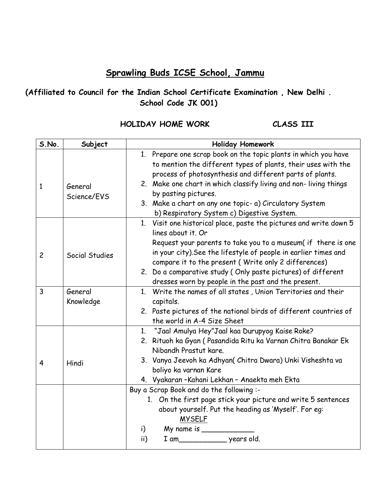## **Sprawling Buds ICSE School, Jammu**

## **(Affiliated to Council for the Indian School Certificate Examination , New Delhi . School Code JK 001)**

## **HOLIDAY HOME WORK CLASS III**

| S.No.          | Subject                | <b>Holiday Homework</b>                                                                                                                                                                                                                                                                                                                                                                                     |  |
|----------------|------------------------|-------------------------------------------------------------------------------------------------------------------------------------------------------------------------------------------------------------------------------------------------------------------------------------------------------------------------------------------------------------------------------------------------------------|--|
| $\mathbf{1}$   | General<br>Science/EVS | 1. Prepare one scrap book on the topic plants in which you have<br>to mention the different types of plants, their uses with the<br>process of photosynthesis and different parts of plants.<br>2. Make one chart in which classify living and non-living things<br>by pasting pictures.<br>3. Make a chart on any one topic- a) Circulatory System<br>b) Respiratory System c) Digestive System.           |  |
| $\overline{c}$ | Social Studies         | 1. Visit one historical place, paste the pictures and write down 5<br>lines about it. Or<br>Request your parents to take you to a museum( if there is one<br>in your city). See the lifestyle of people in earlier times and<br>compare it to the present (Write only 2 differences)<br>2. Do a comparative study (Only paste pictures) of different<br>dresses worn by people in the past and the present. |  |
| 3              | General<br>Knowledge   | 1. Write the names of all states, Union Territories and their<br>capitals.<br>2. Paste pictures of the national birds of different countries of<br>the world in A-4 Size Sheet                                                                                                                                                                                                                              |  |
| $\overline{4}$ | Hindi                  | 1. "Jaal Amulya Hey"Jaal kaa Durupyog Kaise Roke?<br>2. Rituoh ka Gyan (Pasandida Ritu ka Varnan Chitra Banakar Ek<br>Nibandh Prastut kare.<br>3. Vanya Jeevoh ka Adhyan( Chitra Dwara) Unki Visheshta va<br>boliyo ka varnan Kare<br>4. Vyakaran-Kahani Lekhan - Anaekta meh Ekta                                                                                                                          |  |
|                |                        | Buy a Scrap Book and do the following :-<br>1. On the first page stick your picture and write 5 sentences<br>about yourself. Put the heading as 'Myself'. For eg:<br><b>MYSELF</b><br>My name is $\_\_$<br>i)<br>ii)                                                                                                                                                                                        |  |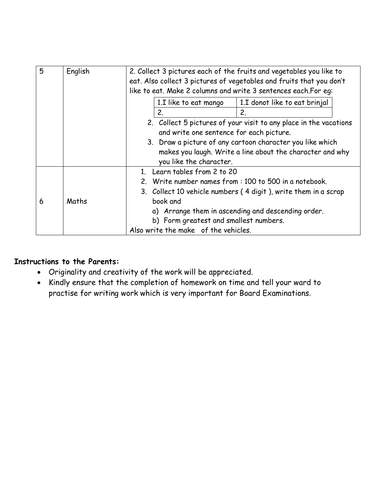| 5 | English | 2. Collect 3 pictures each of the fruits and vegetables you like to                                                                                                                                                                                                |                               |  |
|---|---------|--------------------------------------------------------------------------------------------------------------------------------------------------------------------------------------------------------------------------------------------------------------------|-------------------------------|--|
|   |         | eat. Also collect 3 pictures of vegetables and fruits that you don't                                                                                                                                                                                               |                               |  |
|   |         | like to eat. Make 2 columns and write 3 sentences each.For eq:                                                                                                                                                                                                     |                               |  |
|   |         | 1.I like to eat mango                                                                                                                                                                                                                                              | 1.I donot like to eat brinjal |  |
|   |         | 2.                                                                                                                                                                                                                                                                 | $\mathbf{2}^{\circ}$          |  |
|   |         | 2. Collect 5 pictures of your visit to any place in the vacations<br>and write one sentence for each picture.<br>3. Draw a picture of any cartoon character you like which<br>makes you laugh. Write a line about the character and why<br>you like the character. |                               |  |
|   |         |                                                                                                                                                                                                                                                                    |                               |  |
|   |         |                                                                                                                                                                                                                                                                    |                               |  |
|   |         |                                                                                                                                                                                                                                                                    |                               |  |
|   |         |                                                                                                                                                                                                                                                                    |                               |  |
|   | Maths   | 1. Learn tables from 2 to 20                                                                                                                                                                                                                                       |                               |  |
|   |         | 2. Write number names from: 100 to 500 in a notebook.                                                                                                                                                                                                              |                               |  |
|   |         | 3. Collect 10 vehicle numbers (4 digit), write them in a scrap                                                                                                                                                                                                     |                               |  |
| 6 |         | book and                                                                                                                                                                                                                                                           |                               |  |
|   |         | a) Arrange them in ascending and descending order.                                                                                                                                                                                                                 |                               |  |
|   |         | b) Form greatest and smallest numbers.                                                                                                                                                                                                                             |                               |  |
|   |         | Also write the make of the vehicles.                                                                                                                                                                                                                               |                               |  |

## **Instructions to the Parents:**

- Originality and creativity of the work will be appreciated.
- Kindly ensure that the completion of homework on time and tell your ward to practise for writing work which is very important for Board Examinations.